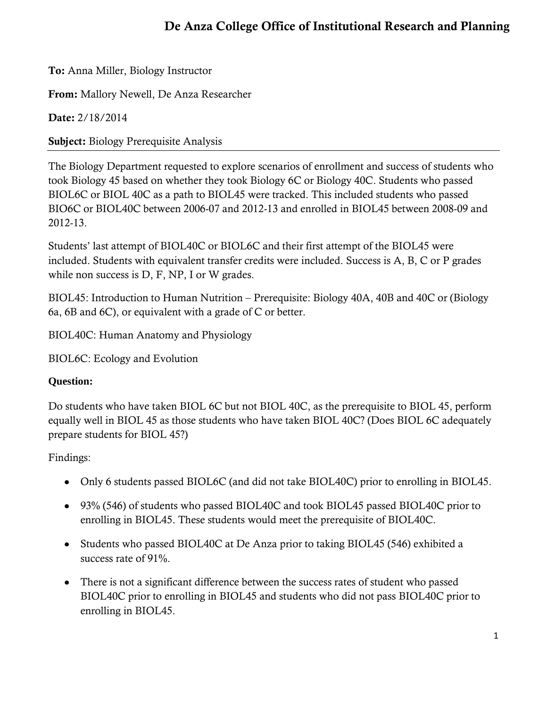# **De Anza College Office of Institutional Research and Planning**

**To:** Anna Miller, Biology Instructor

**From:** Mallory Newell, De Anza Researcher

**Date:** 2/18/2014

**Subject:** Biology Prerequisite Analysis

The Biology Department requested to explore scenarios of enrollment and success of students who took Biology 45 based on whether they took Biology 6C or Biology 40C. Students who passed BIOL6C or BIOL 40C as a path to BIOL45 were tracked. This included students who passed BIO6C or BIOL40C between 2006-07 and 2012-13 and enrolled in BIOL45 between 2008-09 and 2012-13.

Students' last attempt of BIOL40C or BIOL6C and their first attempt of the BIOL45 were included. Students with equivalent transfer credits were included. Success is A, B, C or P grades while non success is D, F, NP, I or W grades.

BIOL45: Introduction to Human Nutrition – Prerequisite: Biology 40A, 40B and 40C or (Biology 6a, 6B and 6C), or equivalent with a grade of C or better.

BIOL40C: Human Anatomy and Physiology

BIOL6C: Ecology and Evolution

### **Question:**

Do students who have taken BIOL 6C but not BIOL 40C, as the prerequisite to BIOL 45, perform equally well in BIOL 45 as those students who have taken BIOL 40C? (Does BIOL 6C adequately prepare students for BIOL 45?)

### Findings:

- Only 6 students passed BIOL6C (and did not take BIOL40C) prior to enrolling in BIOL45.
- 93% (546) of students who passed BIOL40C and took BIOL45 passed BIOL40C prior to enrolling in BIOL45. These students would meet the prerequisite of BIOL40C.
- Students who passed BIOL40C at De Anza prior to taking BIOL45 (546) exhibited a success rate of 91%.
- There is not a significant difference between the success rates of student who passed BIOL40C prior to enrolling in BIOL45 and students who did not pass BIOL40C prior to enrolling in BIOL45.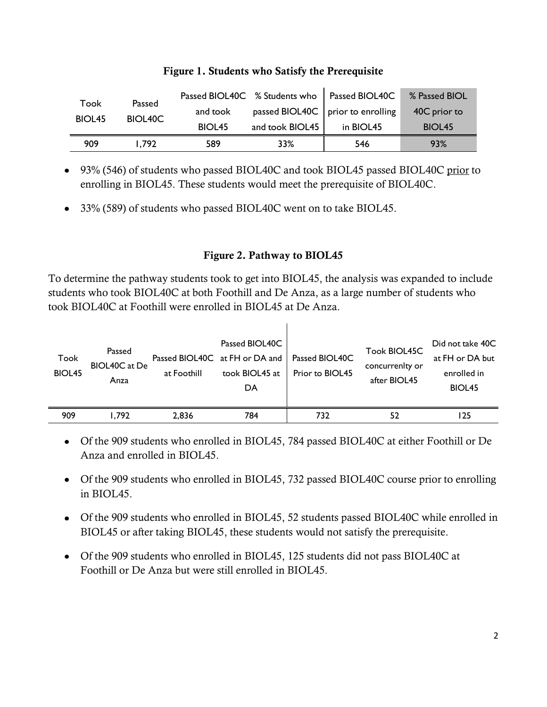| Took<br>BIOL45 | Passed<br>BIOL40C | Passed BIOL40C % Students who   Passed BIOL40C |                 |                                     | % Passed BIOL      |  |
|----------------|-------------------|------------------------------------------------|-----------------|-------------------------------------|--------------------|--|
|                |                   | and took                                       |                 | passed BIOL40C   prior to enrolling | 40C prior to       |  |
|                |                   | BIOL <sub>45</sub>                             | and took BIOL45 | in BIOL45                           | BIOL <sub>45</sub> |  |
| 909            | I.792             | 589                                            | 33%             | 546                                 | 93%                |  |

#### **Figure 1. Students who Satisfy the Prerequisite**

- 93% (546) of students who passed BIOL40C and took BIOL45 passed BIOL40C prior to enrolling in BIOL45. These students would meet the prerequisite of BIOL40C.
- 33% (589) of students who passed BIOL40C went on to take BIOL45.

## **Figure 2. Pathway to BIOL45**

To determine the pathway students took to get into BIOL45, the analysis was expanded to include students who took BIOL40C at both Foothill and De Anza, as a large number of students who took BIOL40C at Foothill were enrolled in BIOL45 at De Anza.

 $\mathbf{I}$ 

| Took<br>BIOL45 | Passed<br>BIOL40C at De<br>Anza | at Foothill | Passed BIOL40C<br>Passed BIOL40C at FH or DA and<br>took BIOL45 at<br>DA | Passed BIOL40C<br>Prior to BIOL45 | Took BIOL45C<br>concurrenlty or<br>after BIOL45 | Did not take 40C<br>at FH or DA but<br>enrolled in<br>BIOL <sub>45</sub> |
|----------------|---------------------------------|-------------|--------------------------------------------------------------------------|-----------------------------------|-------------------------------------------------|--------------------------------------------------------------------------|
| 909            | .792                            | 2.836       | 784                                                                      | 732                               | 52                                              | 125                                                                      |

- Of the 909 students who enrolled in BIOL45, 784 passed BIOL40C at either Foothill or De Anza and enrolled in BIOL45.
- Of the 909 students who enrolled in BIOL45, 732 passed BIOL40C course prior to enrolling in BIOL45.
- Of the 909 students who enrolled in BIOL45, 52 students passed BIOL40C while enrolled in BIOL45 or after taking BIOL45, these students would not satisfy the prerequisite.
- Of the 909 students who enrolled in BIOL45, 125 students did not pass BIOL40C at Foothill or De Anza but were still enrolled in BIOL45.